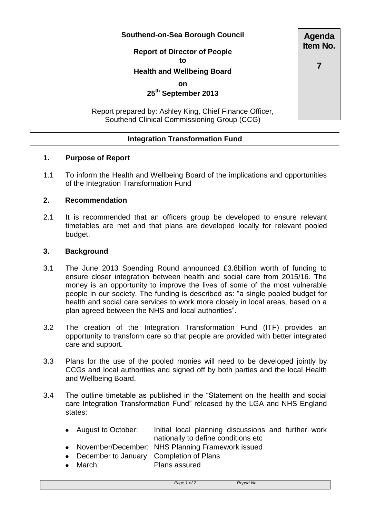#### **Southend-on-Sea Borough Council**

**Report of Director of People to**

# **Health and Wellbeing Board**

### **on**

**25th September 2013**

Report prepared by: Ashley King, Chief Finance Officer, Southend Clinical Commissioning Group (CCG)

# **Integration Transformation Fund**

# **1. Purpose of Report**

1.1 To inform the Health and Wellbeing Board of the implications and opportunities of the Integration Transformation Fund

### **2. Recommendation**

2.1 It is recommended that an officers group be developed to ensure relevant timetables are met and that plans are developed locally for relevant pooled budget.

#### **3. Background**

- 3.1 The June 2013 Spending Round announced £3.8billion worth of funding to ensure closer integration between health and social care from 2015/16. The money is an opportunity to improve the lives of some of the most vulnerable people in our society. The funding is described as: "a single pooled budget for health and social care services to work more closely in local areas, based on a plan agreed between the NHS and local authorities".
- 3.2 The creation of the Integration Transformation Fund (ITF) provides an opportunity to transform care so that people are provided with better integrated care and support.
- 3.3 Plans for the use of the pooled monies will need to be developed jointly by CCGs and local authorities and signed off by both parties and the local Health and Wellbeing Board.
- 3.4 The outline timetable as published in the "Statement on the health and social care Integration Transformation Fund" released by the LGA and NHS England states:
	- August to October: Initial local planning discussions and further work  $\bullet$ nationally to define conditions etc
	- November/December: NHS Planning Framework issued
	- December to January: Completion of Plans
	- March: Plans assured  $\bullet$

**Item No.**

**Agenda**

**7**